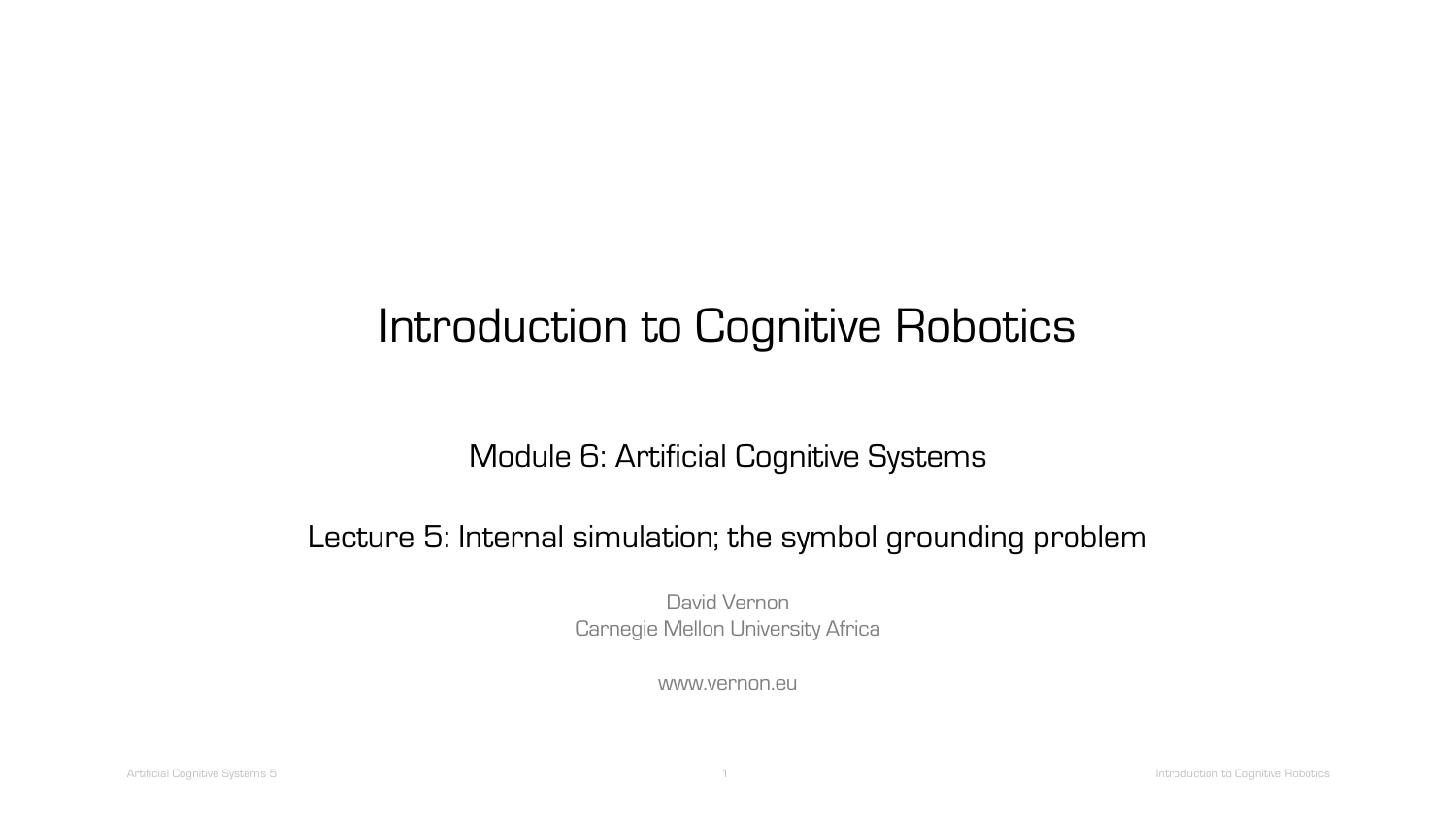# Introduction to Cognitive Robotics

#### Module 6: Artificial Cognitive Systems

#### Lecture 5: Internal simulation; the symbol grounding problem

David Vernon Carnegie Mellon University Africa

www.vernon.eu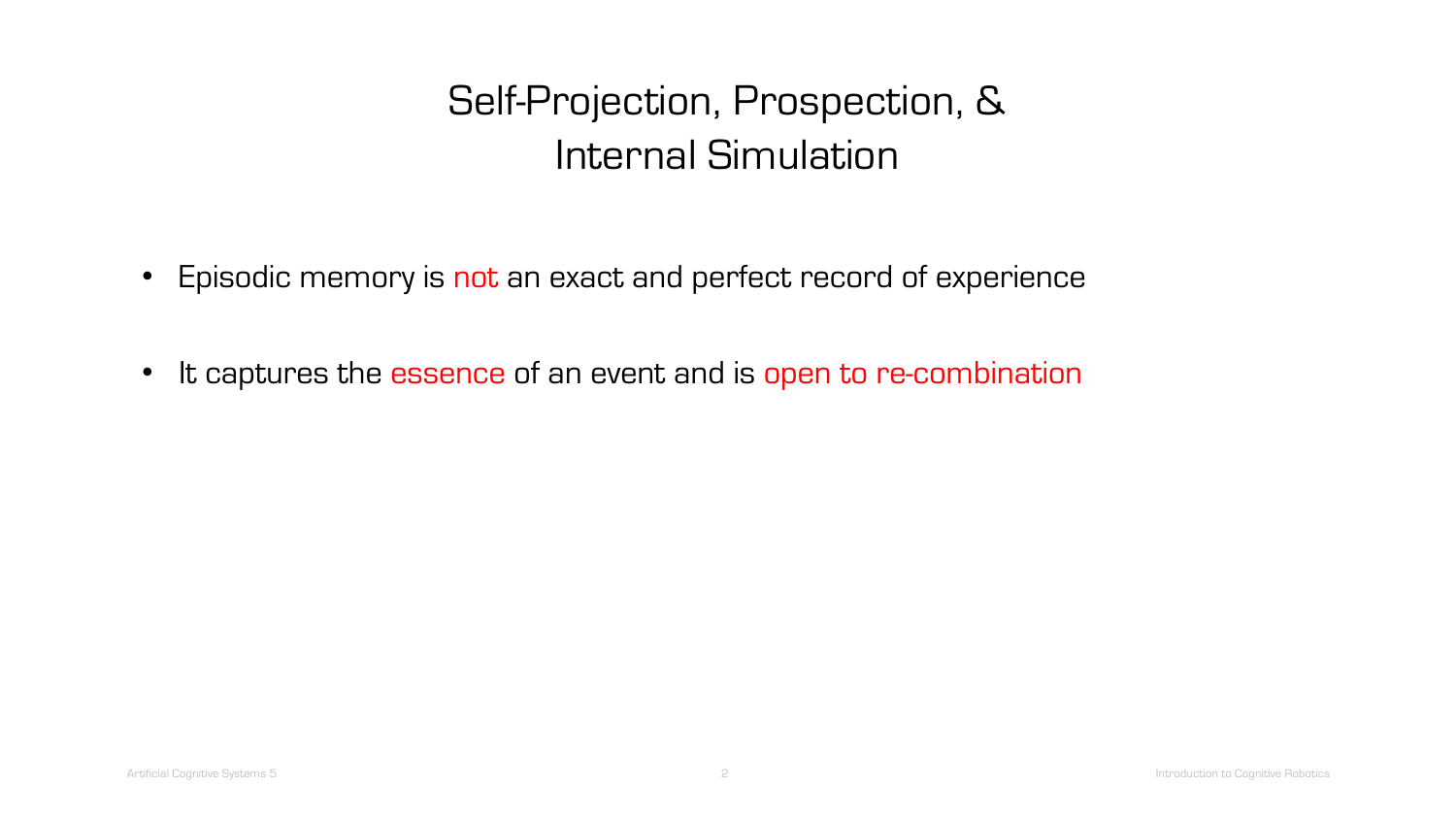# Self-Projection, Prospection, & Internal Simulation

- Episodic memory is not an exact and perfect record of experience
- It captures the essence of an event and is open to re-combination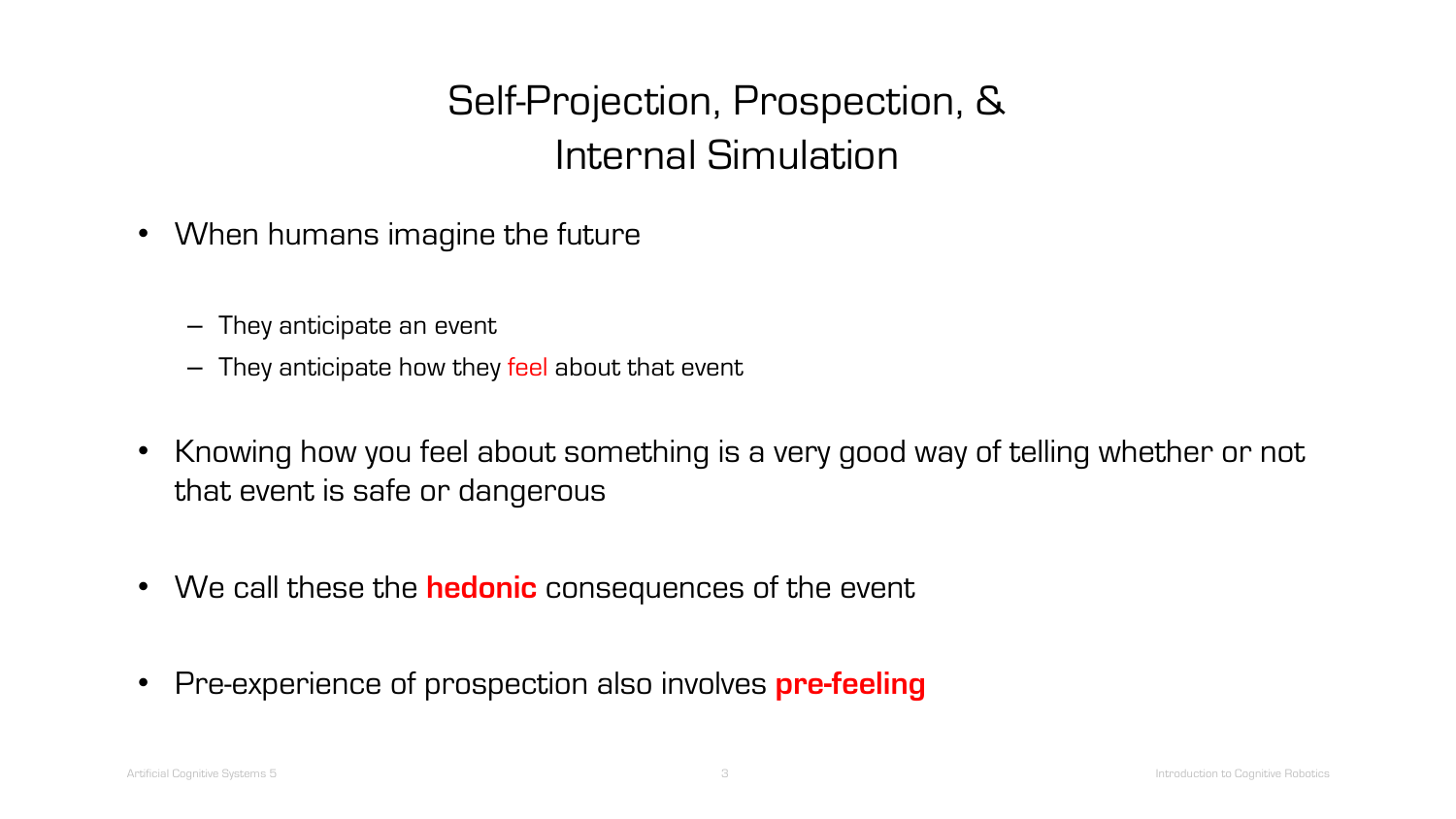# Self-Projection, Prospection, & Internal Simulation

- When humans imagine the future
	- They anticipate an event
	- They anticipate how they feel about that event
- Knowing how you feel about something is a very good way of telling whether or not that event is safe or dangerous
- We call these the **hedonic** consequences of the event
- Pre-experience of prospection also involves **pre-feeling**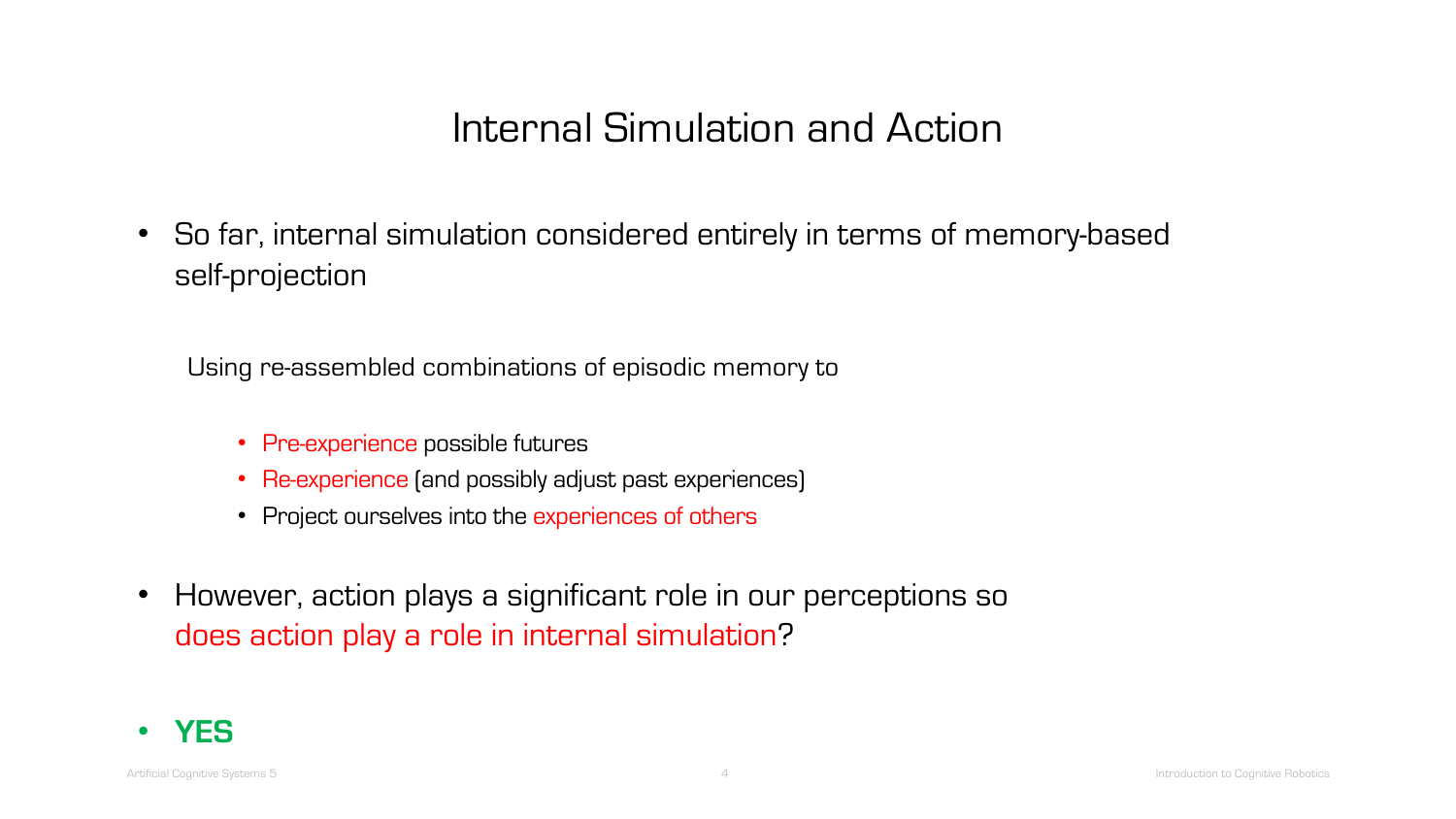• So far, internal simulation considered entirely in terms of memory-based self-projection

Using re-assembled combinations of episodic memory to

- Pre-experience possible futures
- Re-experience (and possibly adjust past experiences)
- Project ourselves into the experiences of others
- However, action plays a significant role in our perceptions so does action play a role in internal simulation?

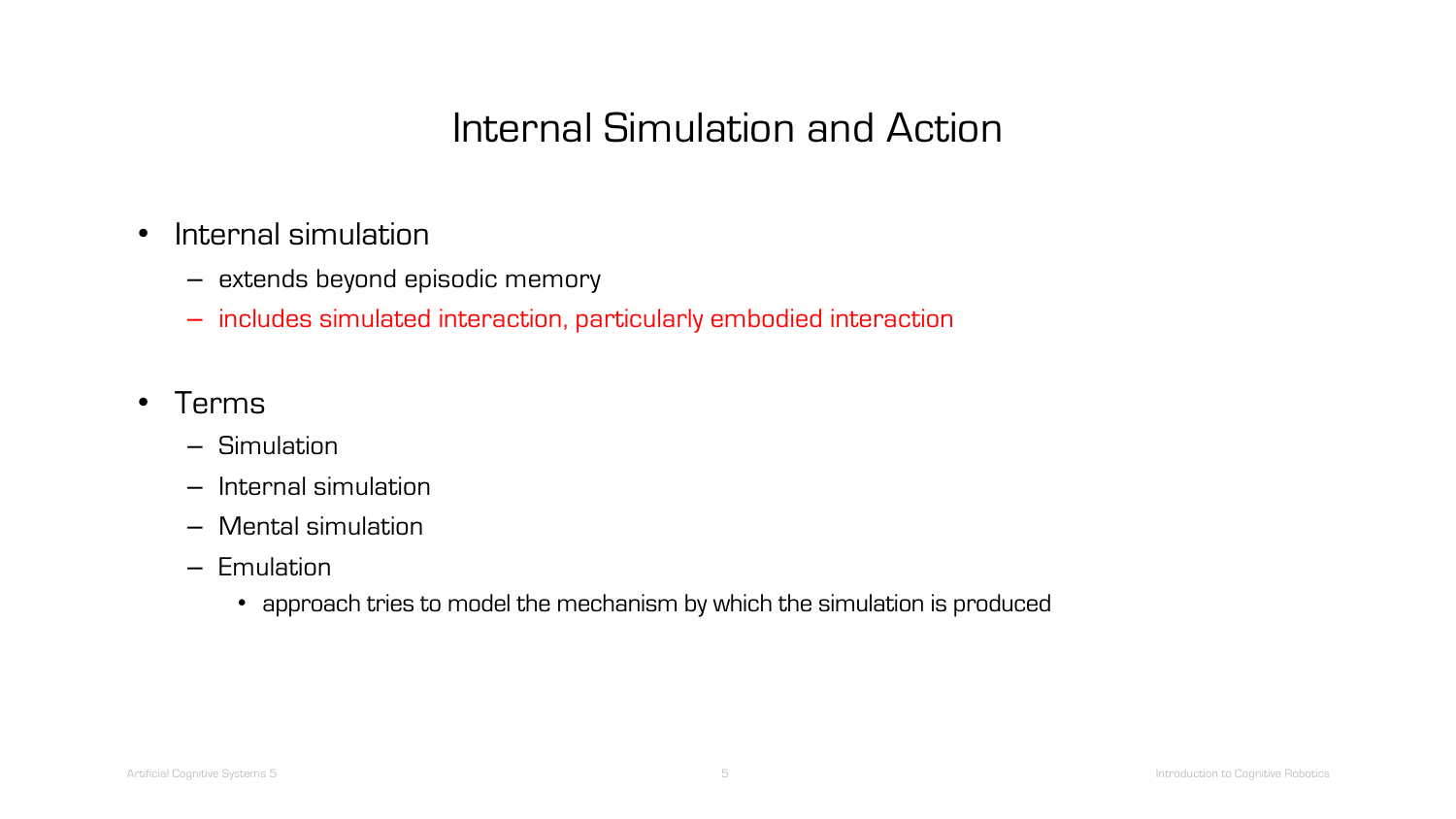- Internal simulation
	- extends beyond episodic memory
	- includes simulated interaction, particularly embodied interaction
- Terms
	- Simulation
	- Internal simulation
	- Mental simulation
	- Emulation
		- approach tries to model the mechanism by which the simulation is produced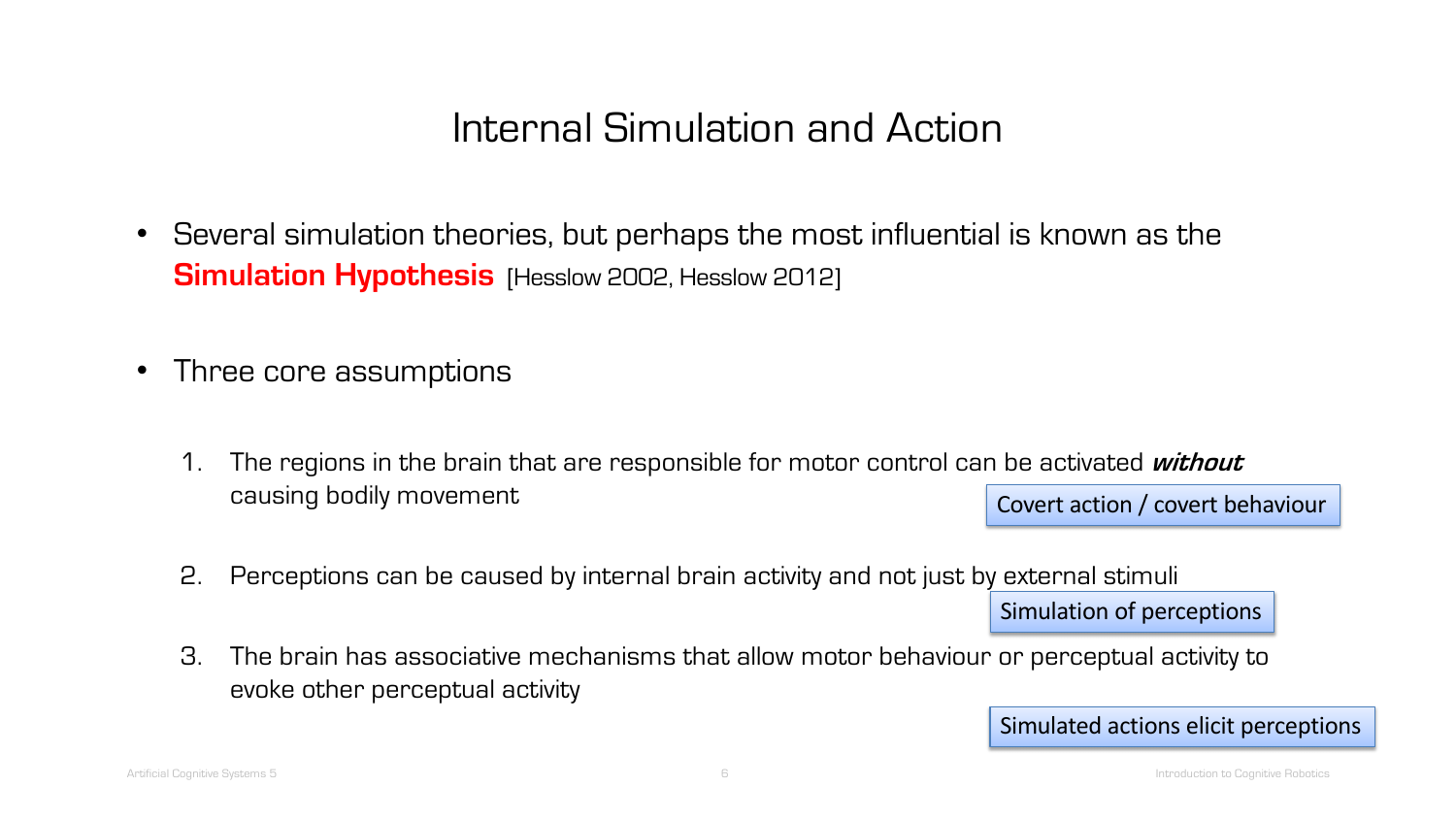- Several simulation theories, but perhaps the most influential is known as the **Simulation Hypothesis** [Hesslow 2002, Hesslow 2012]
- Three core assumptions
	- 1. The regions in the brain that are responsible for motor control can be activated **without**  causing bodily movement Covert action / covert behaviour
	- 2. Perceptions can be caused by internal brain activity and not just by external stimuli

Simulation of perceptions

3. The brain has associative mechanisms that allow motor behaviour or perceptual activity to evoke other perceptual activity

Simulated actions elicit perceptions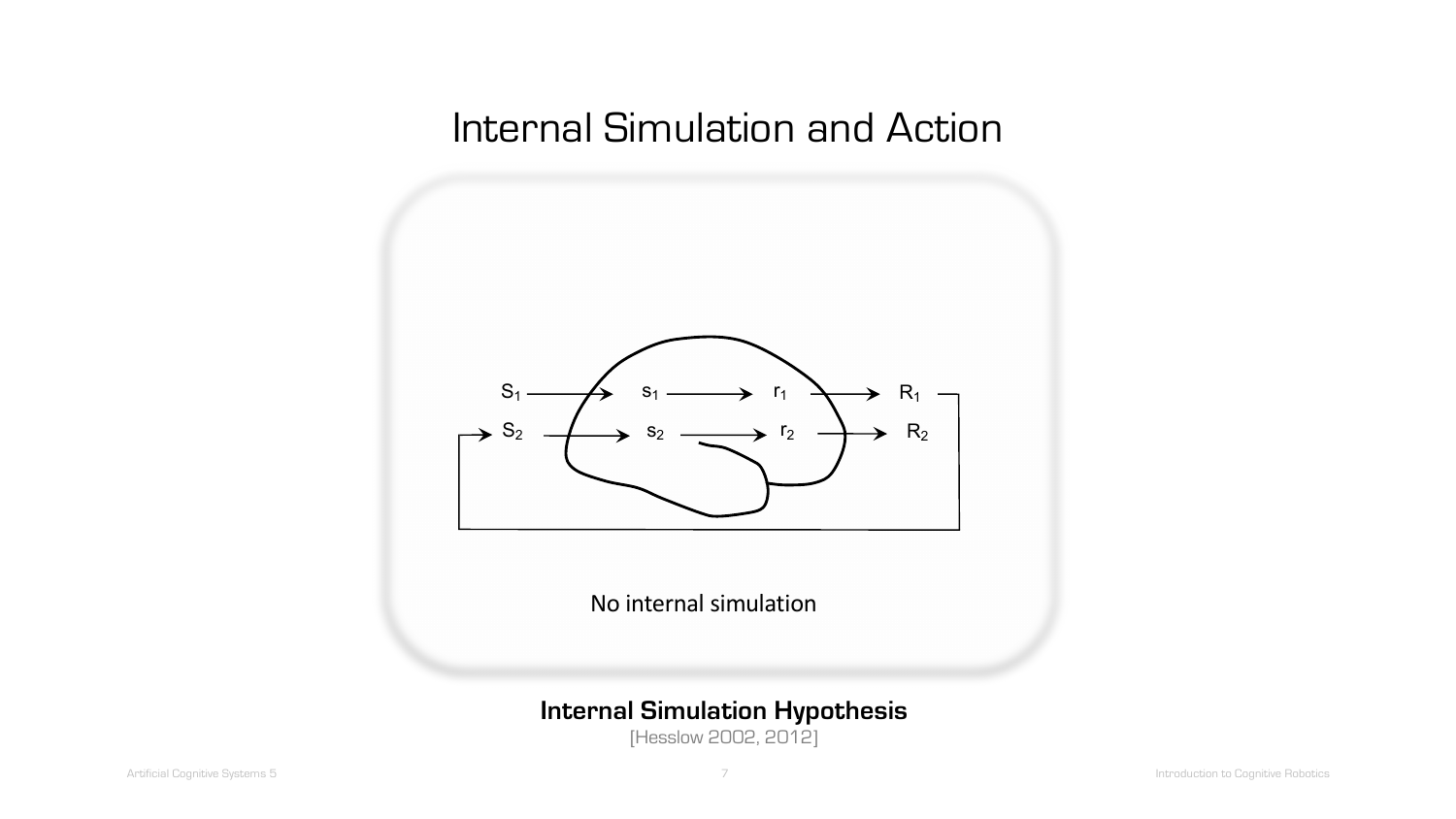

No internal simulation

#### **Internal Simulation Hypothesis**

[Hesslow 2002, 2012]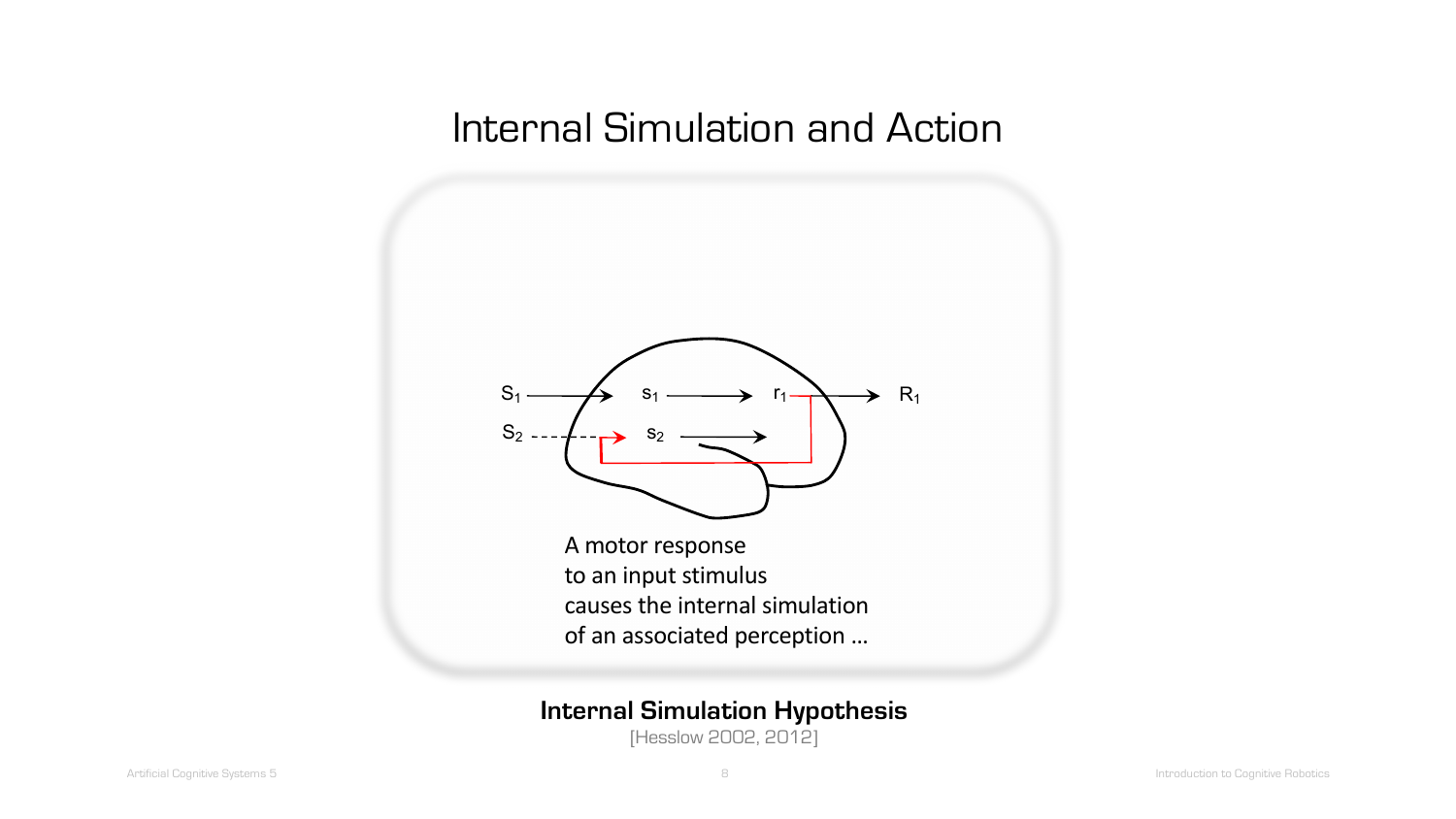

A motor response to an input stimulus causes the internal simulation of an associated perception …

#### **Internal Simulation Hypothesis**

[Hesslow 2002, 2012]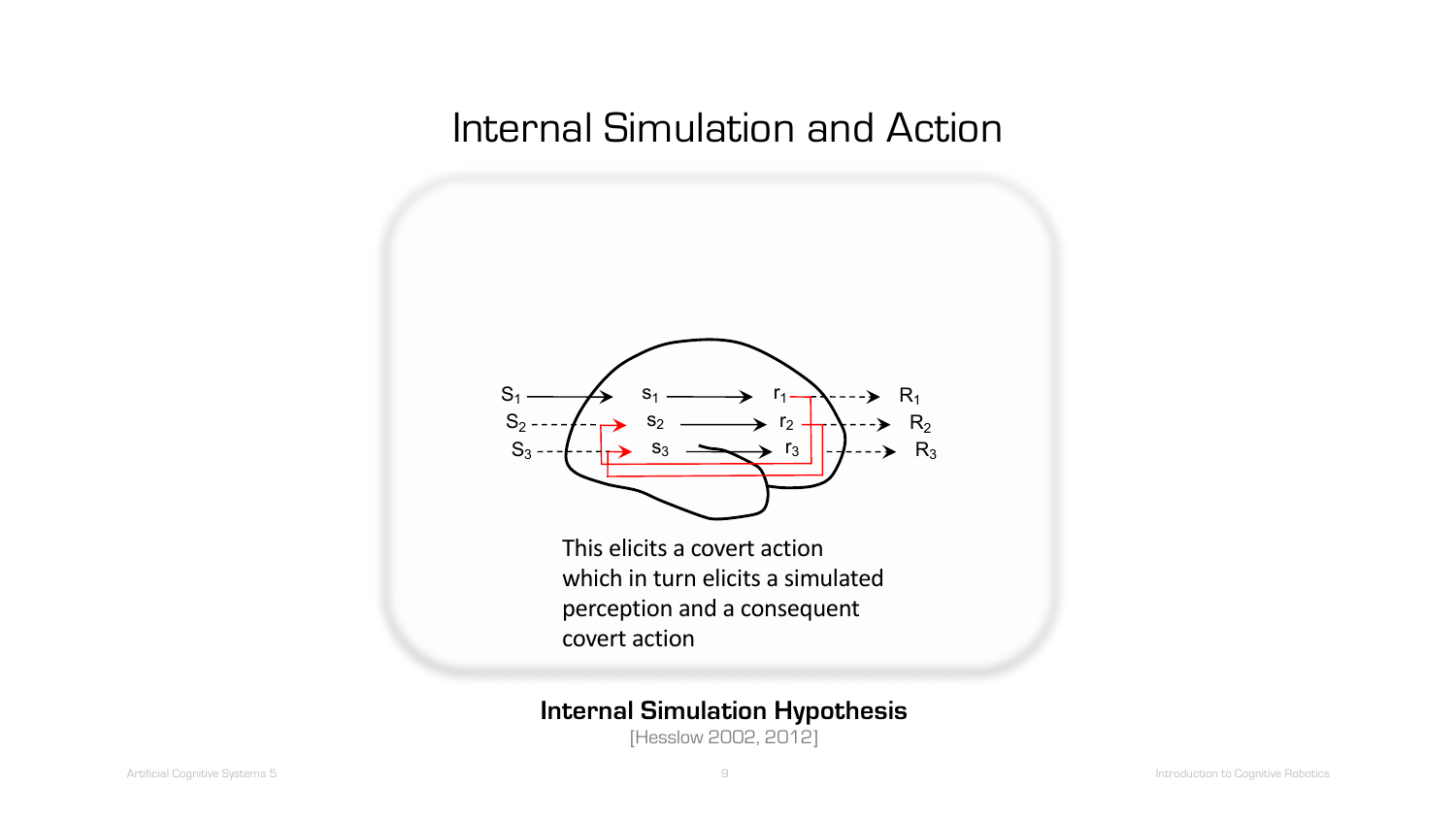

This elicits a covert action which in turn elicits a simulated perception and a consequent covert action

#### **Internal Simulation Hypothesis**

[Hesslow 2002, 2012]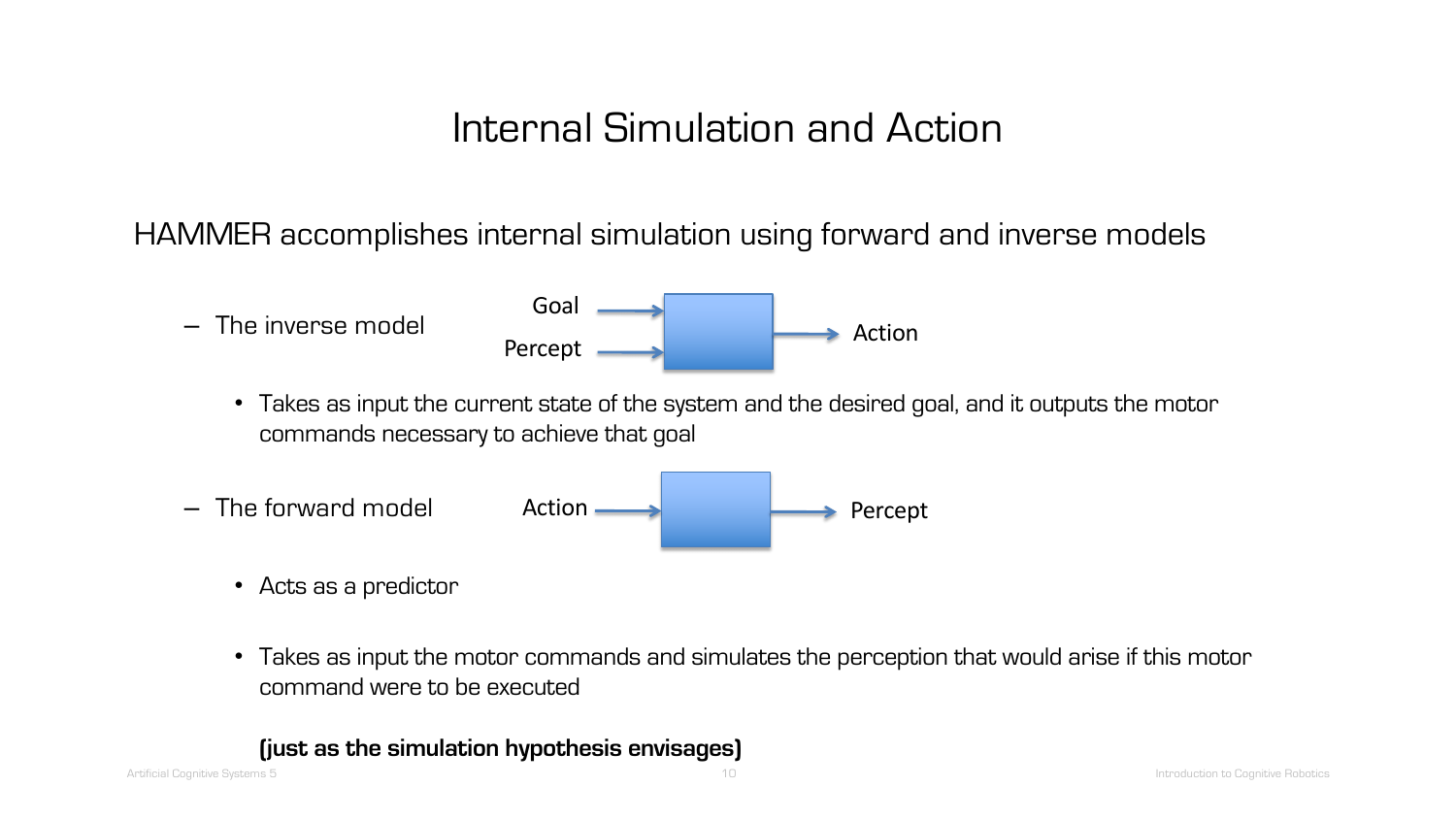HAMMER accomplishes internal simulation using forward and inverse models



- Acts as a predictor
- Takes as input the motor commands and simulates the perception that would arise if this motor command were to be executed

#### **(just as the simulation hypothesis envisages)**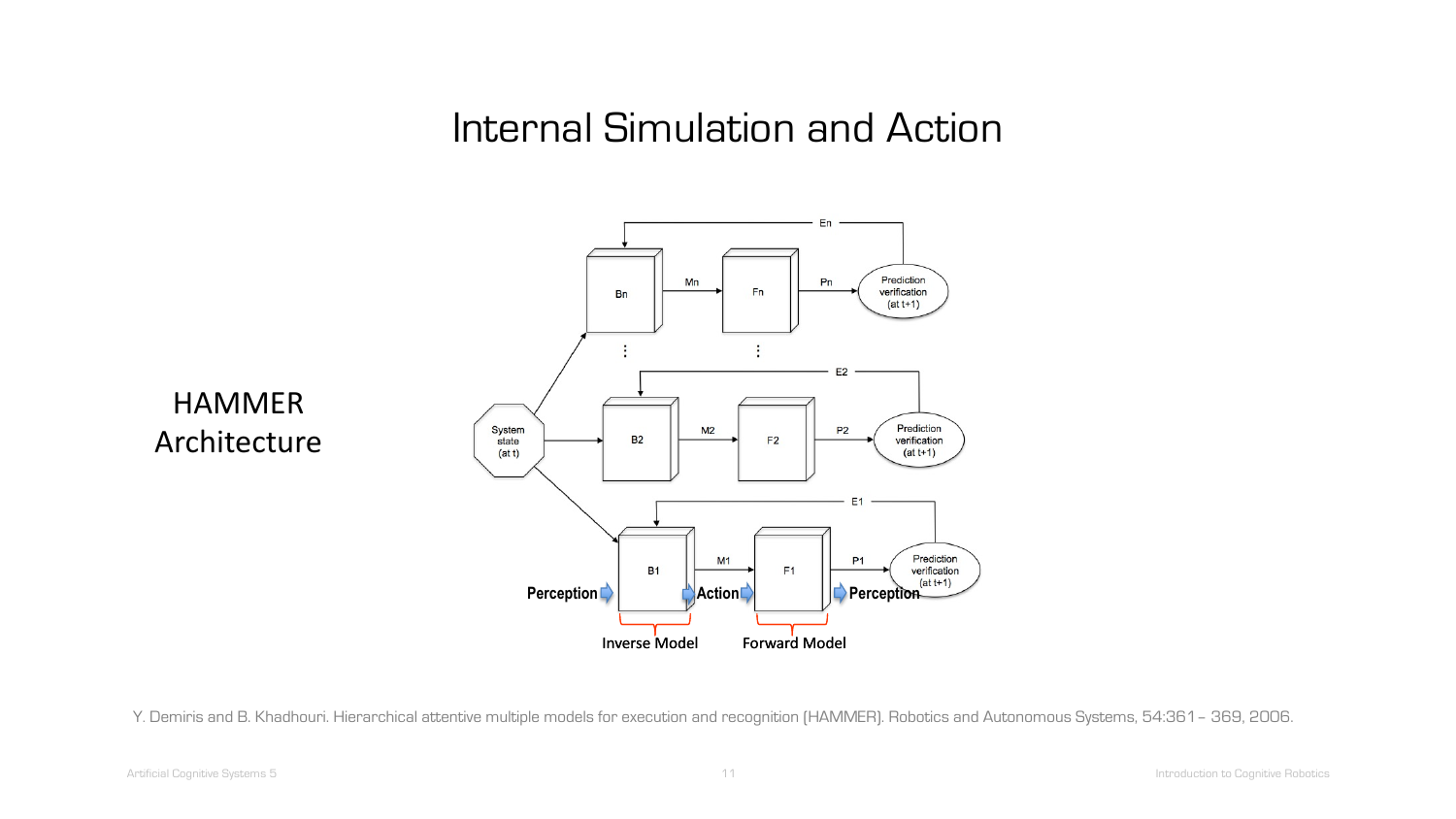

Y. Demiris and B. Khadhouri. Hierarchical attentive multiple models for execution and recognition (HAMMER). Robotics and Autonomous Systems, 54:361– 369, 2006.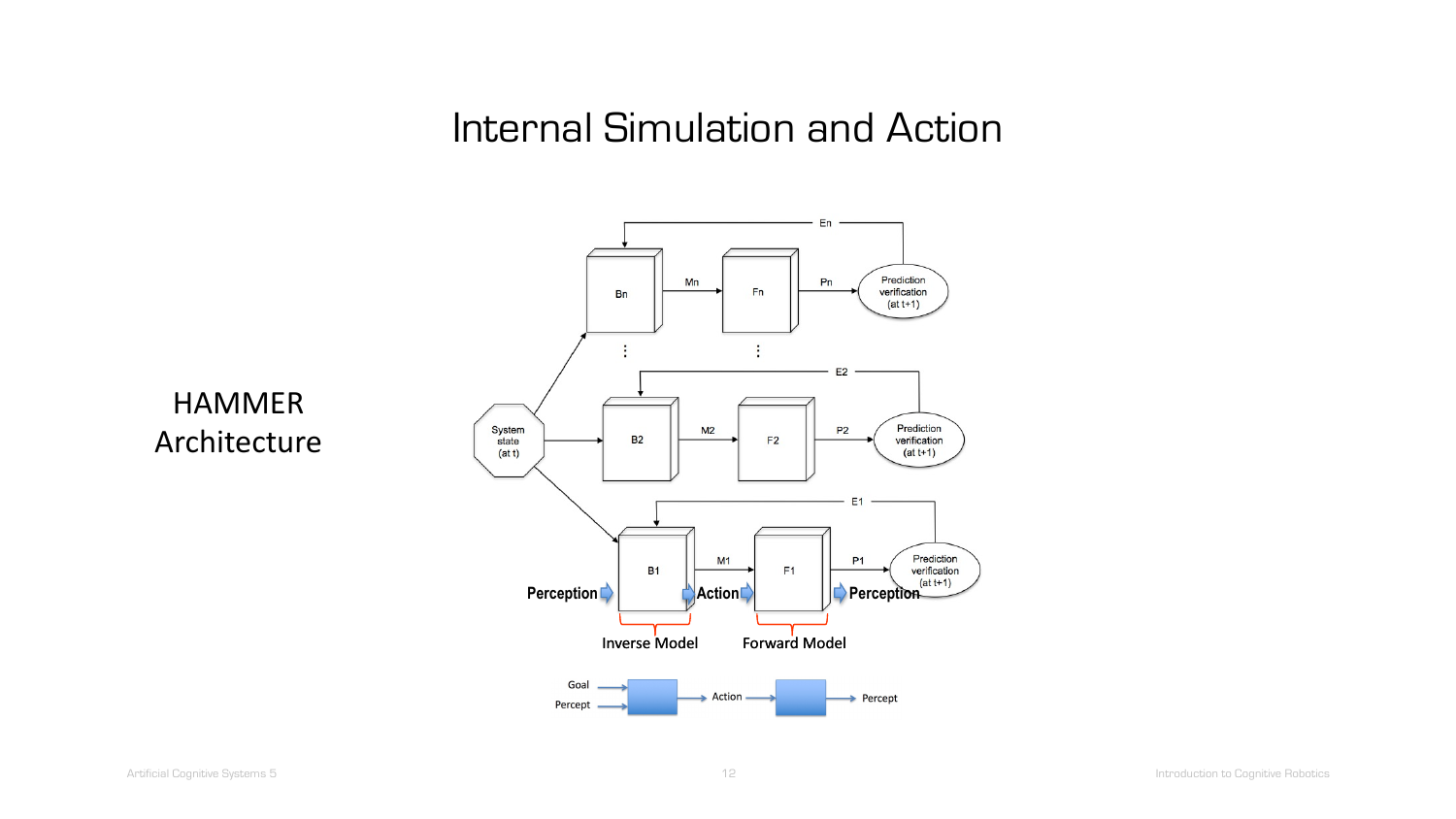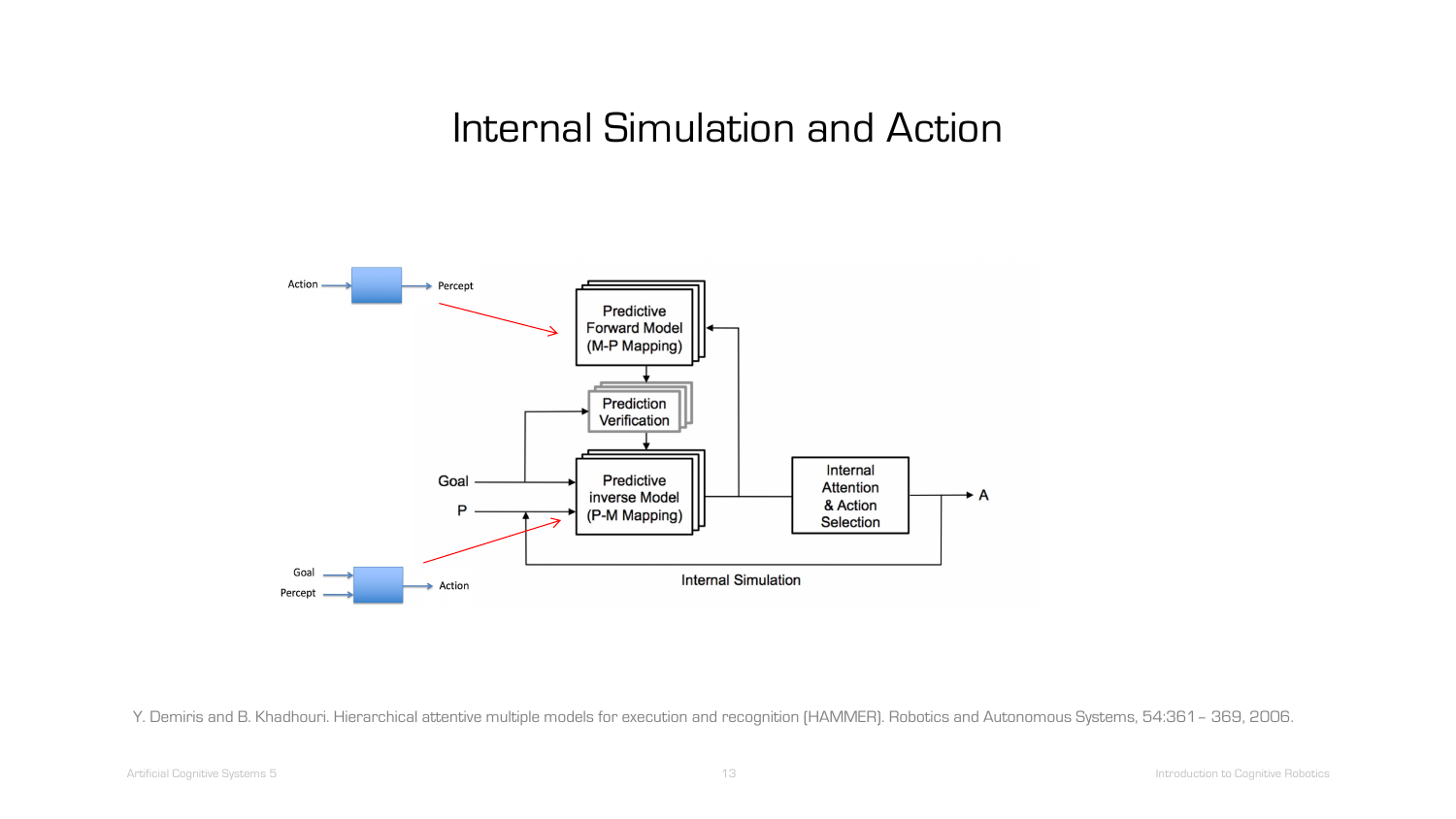

.<br>Y. Demiris and B. Khadhouri. Hierarchical attentive multiple models for execution and recognition (HAMMER). Robotics and Autonomous Systems, 54:361– 369, 2006.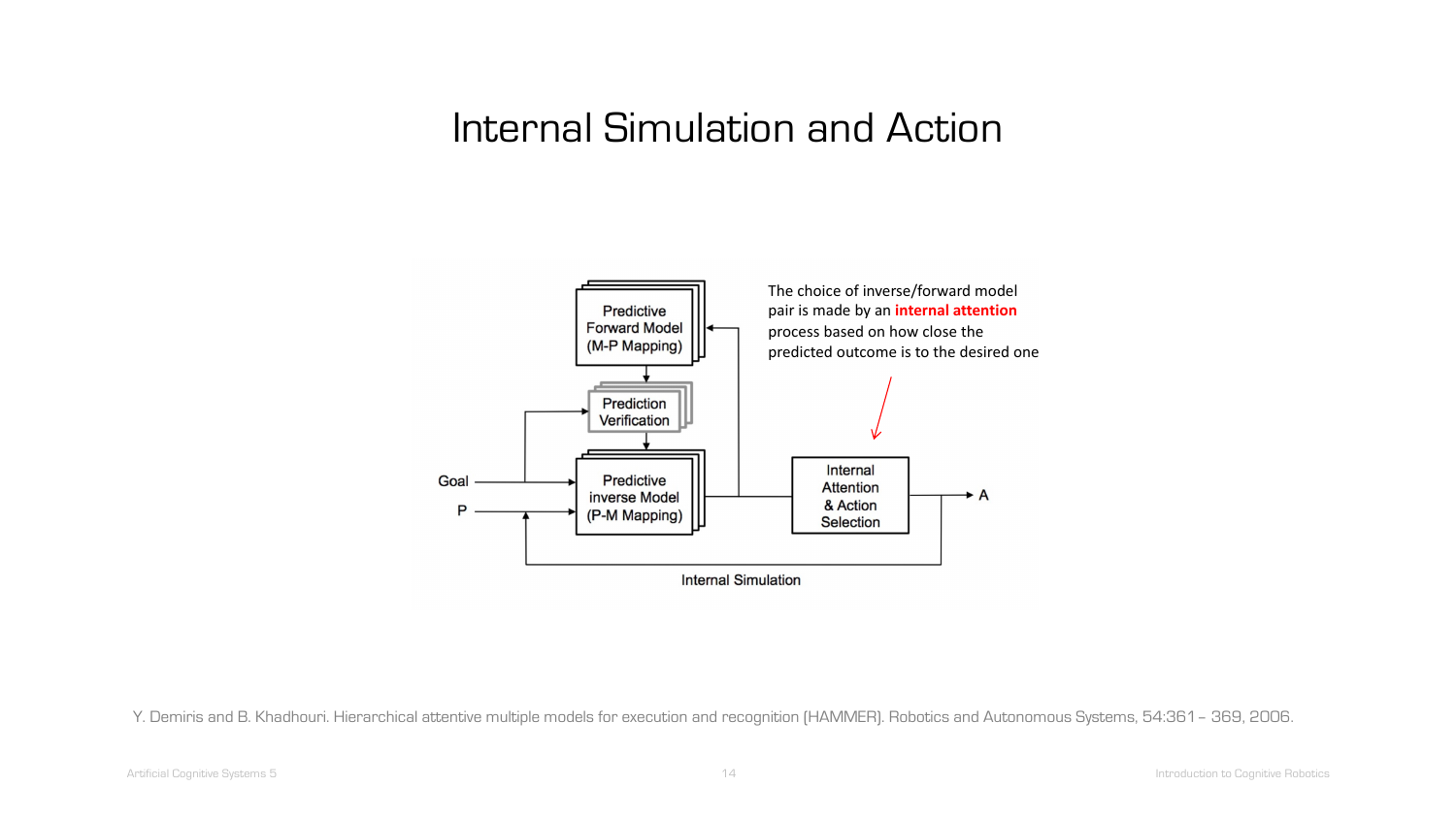

.<br>Y. Demiris and B. Khadhouri. Hierarchical attentive multiple models for execution and recognition (HAMMER). Robotics and Autonomous Systems, 54:361– 369, 2006.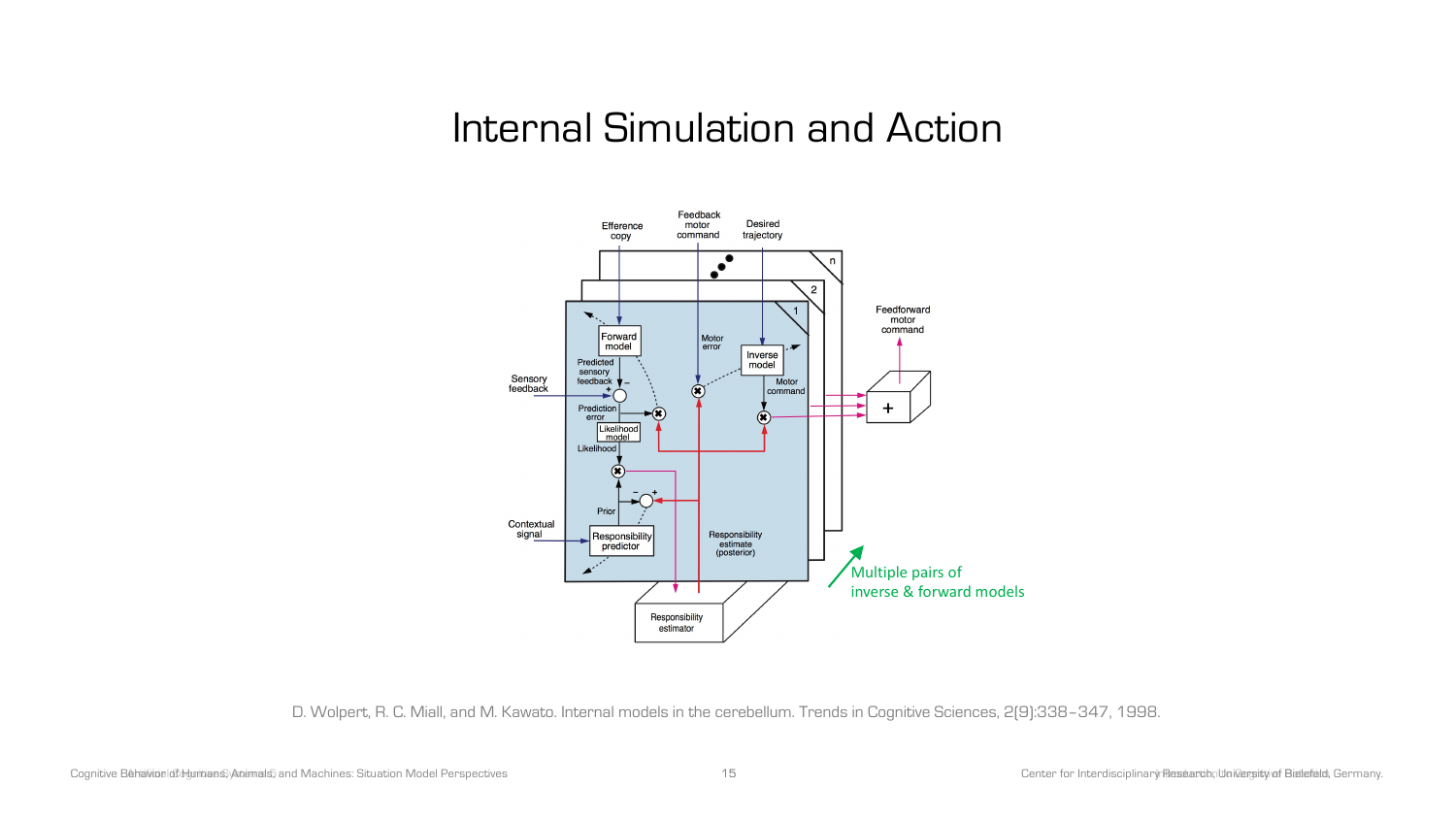

D. Wolpert, R. C. Miall, and M. Kawato. Internal models in the cerebellum. Trends in Cognitive Sciences, 2(9):338–347, 1998.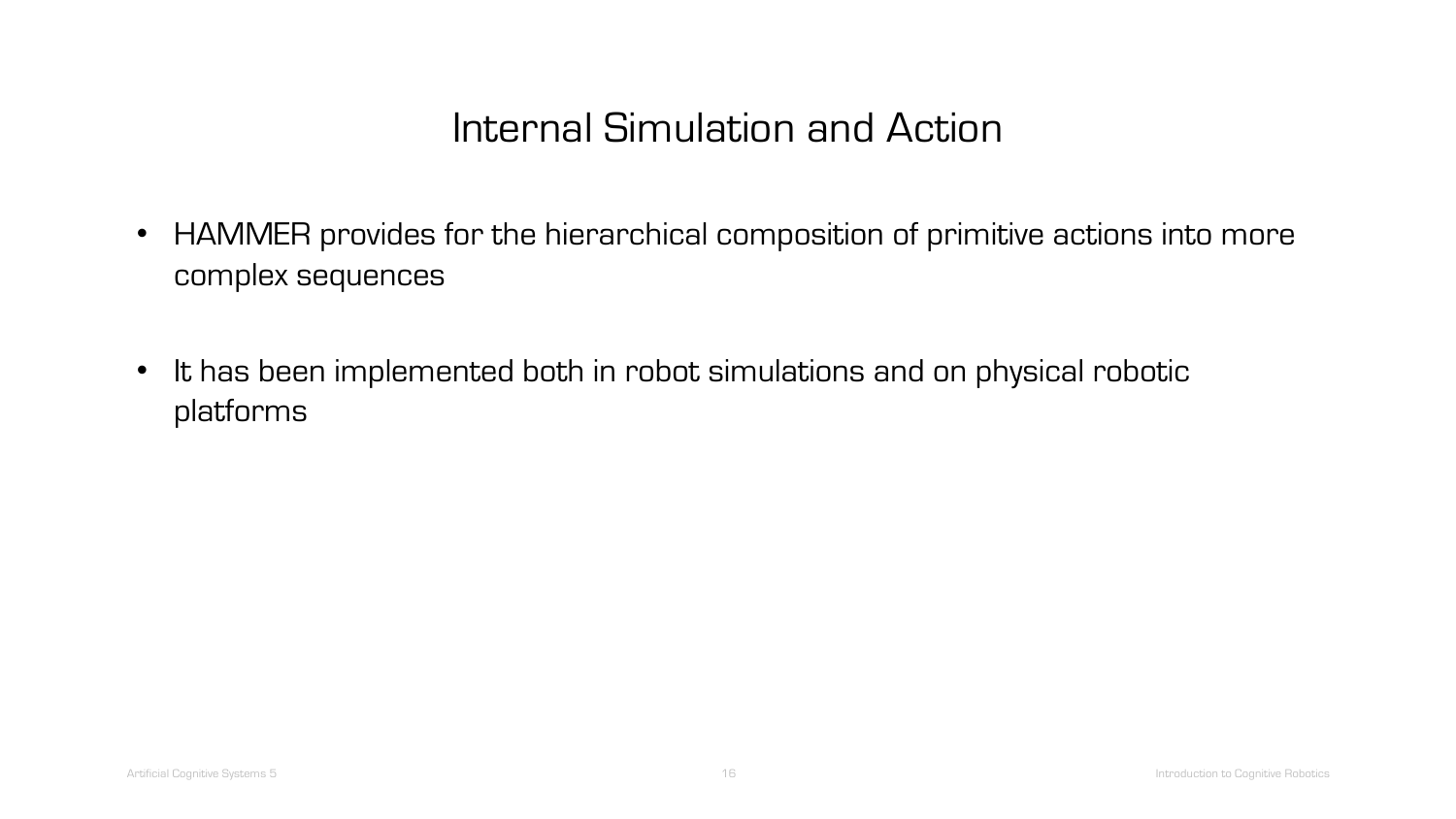- HAMMER provides for the hierarchical composition of primitive actions into more complex sequences
- It has been implemented both in robot simulations and on physical robotic platforms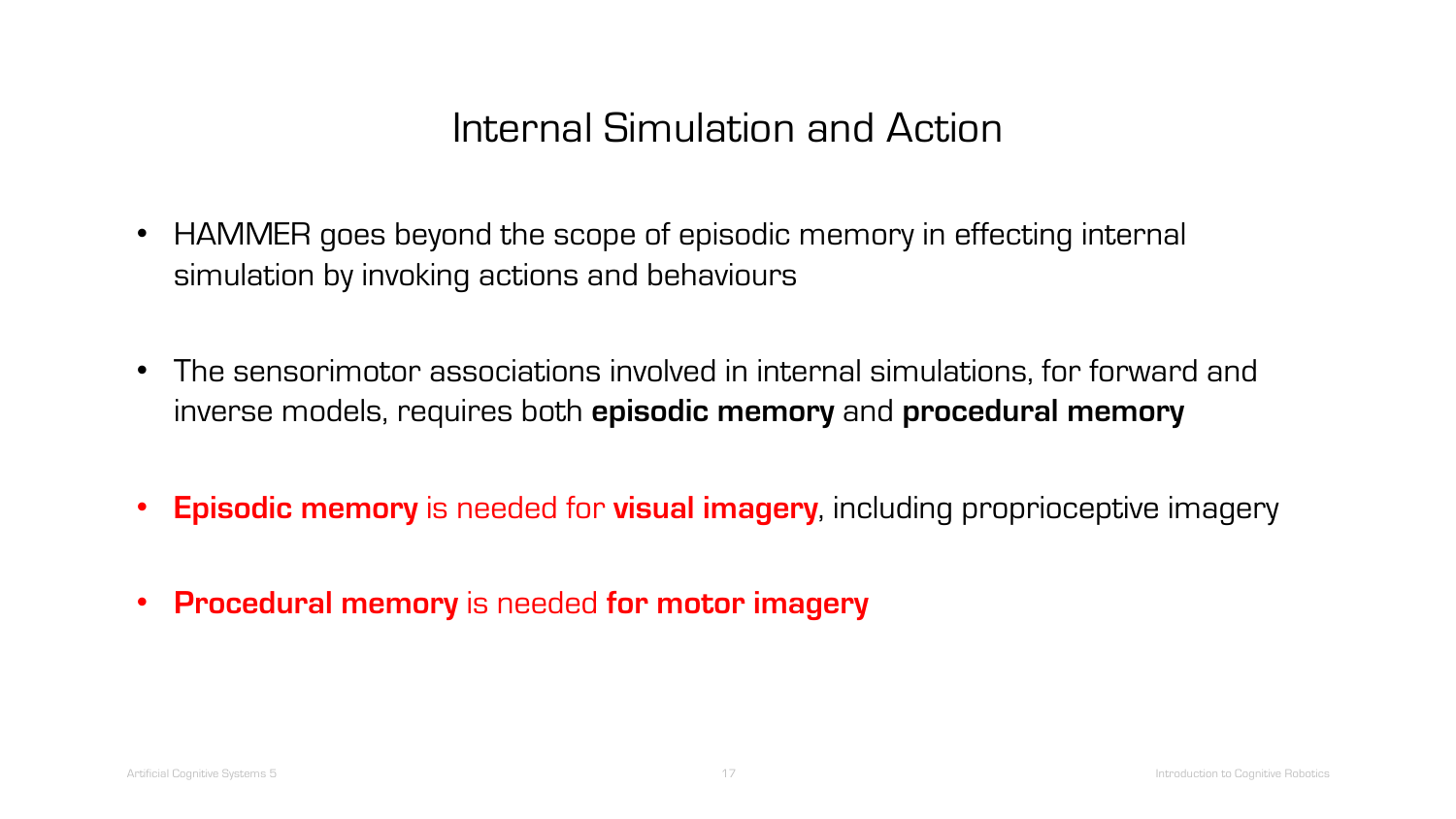- HAMMER goes beyond the scope of episodic memory in effecting internal simulation by invoking actions and behaviours
- The sensorimotor associations involved in internal simulations, for forward and inverse models, requires both **episodic memory** and **procedural memory**
- **Episodic memory** is needed for **visual imagery**, including proprioceptive imagery
- **Procedural memory** is needed **for motor imagery**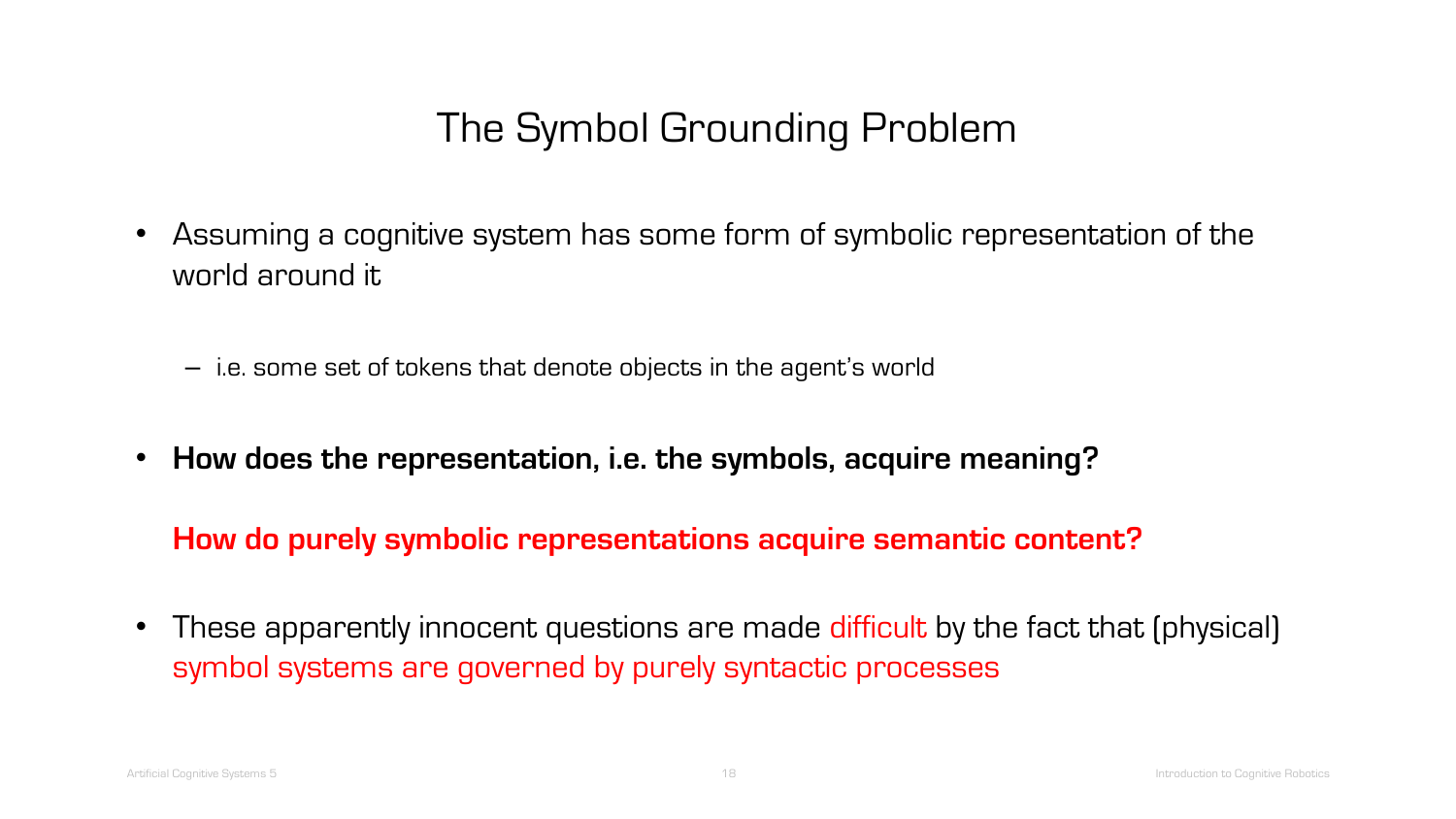- Assuming a cognitive system has some form of symbolic representation of the world around it
	- i.e. some set of tokens that denote objects in the agent's world
- **How does the representation, i.e. the symbols, acquire meaning?**

**How do purely symbolic representations acquire semantic content?** 

• These apparently innocent questions are made difficult by the fact that (physical) symbol systems are governed by purely syntactic processes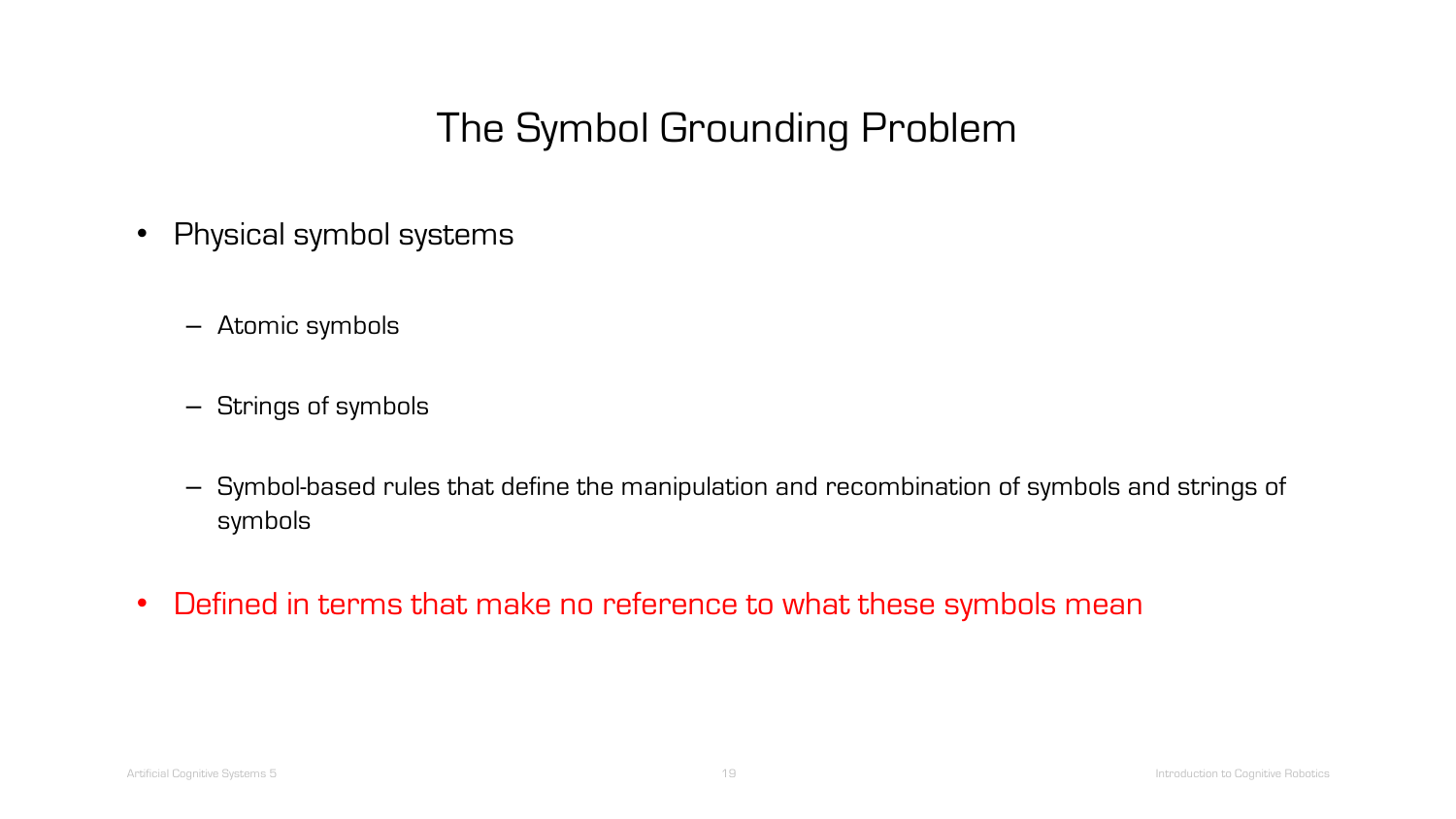- Physical symbol systems
	- Atomic symbols
	- Strings of symbols
	- Symbol-based rules that define the manipulation and recombination of symbols and strings of symbols
- Defined in terms that make no reference to what these symbols mean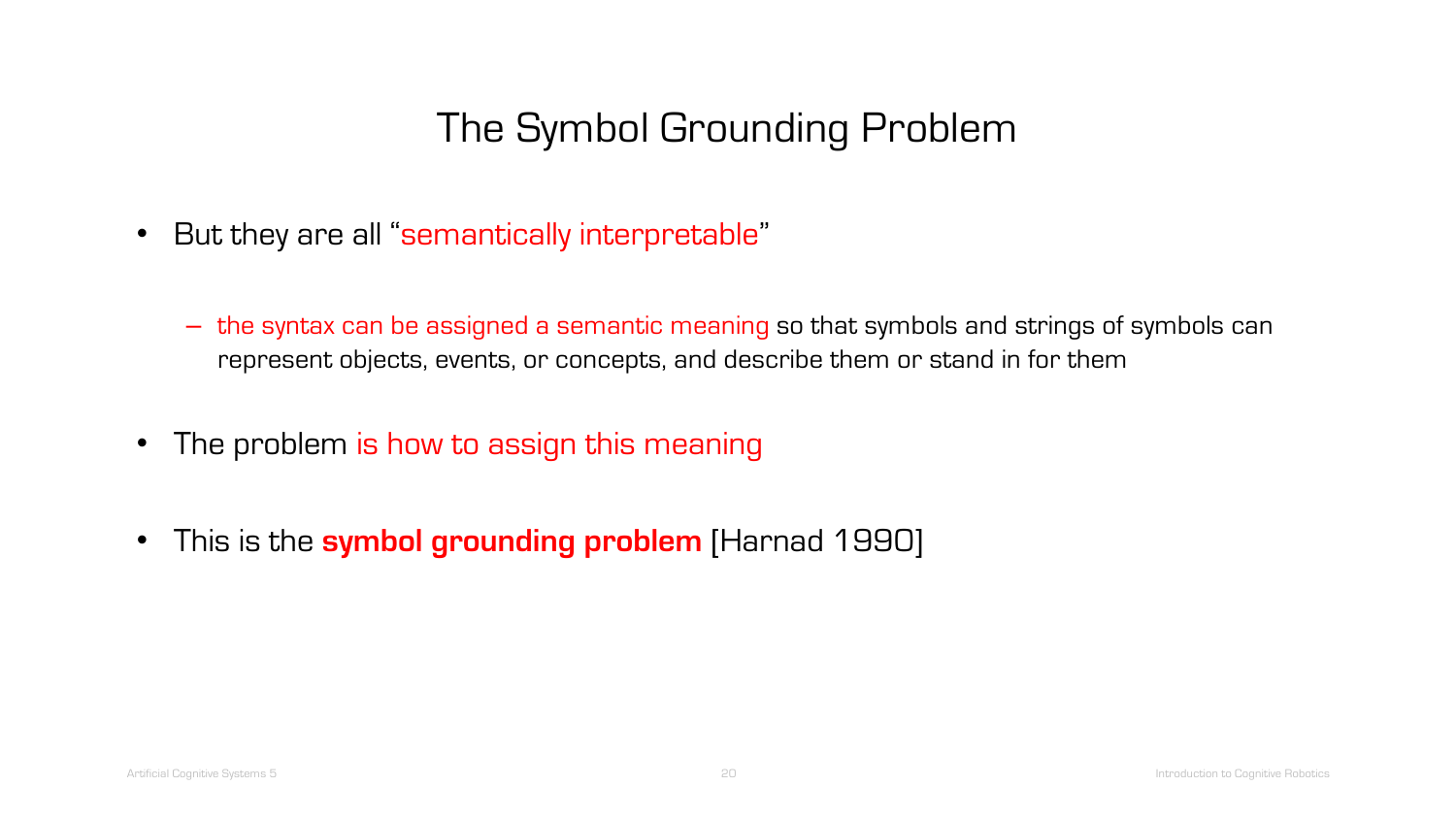- But they are all "semantically interpretable"
	- the syntax can be assigned a semantic meaning so that symbols and strings of symbols can represent objects, events, or concepts, and describe them or stand in for them
- The problem is how to assign this meaning
- This is the **symbol grounding problem** [Harnad 1990]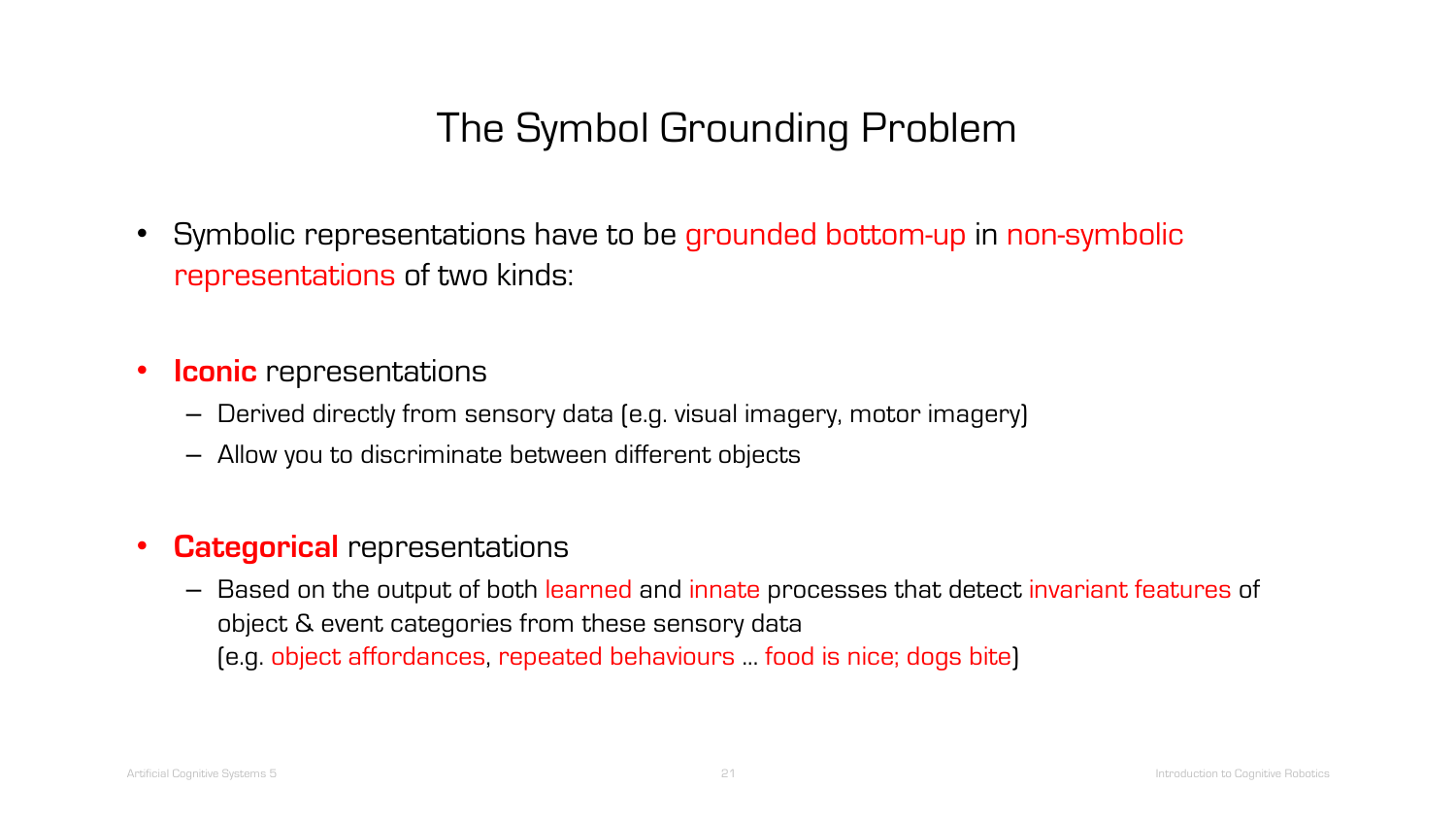- Symbolic representations have to be grounded bottom-up in non-symbolic representations of two kinds:
- **Iconic** representations
	- Derived directly from sensory data (e.g. visual imagery, motor imagery)
	- Allow you to discriminate between different objects
- **Categorical** representations
	- Based on the output of both learned and innate processes that detect invariant features of object & event categories from these sensory data (e.g. object affordances, repeated behaviours ... food is nice; dogs bite)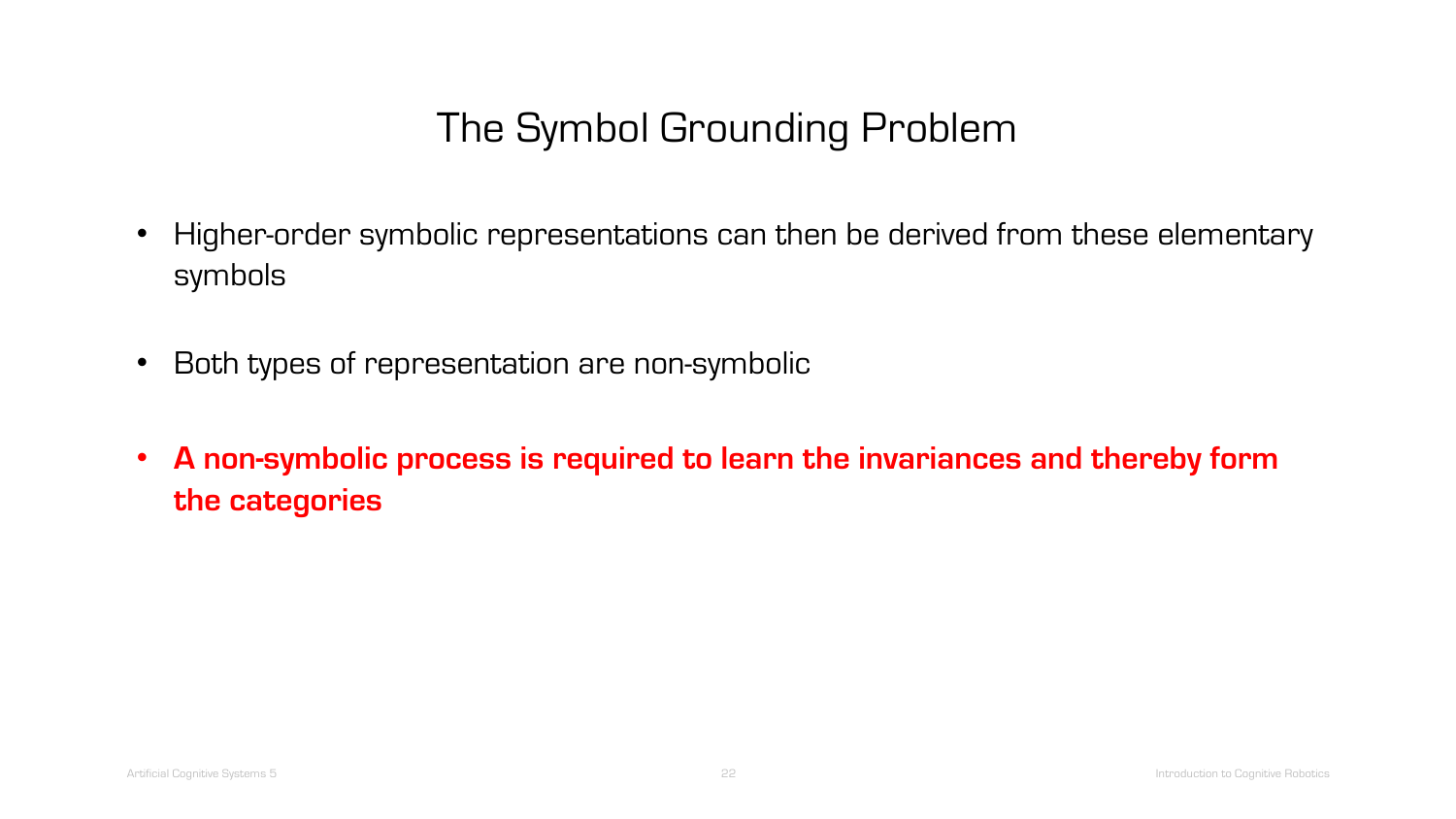- Higher-order symbolic representations can then be derived from these elementary symbols
- Both types of representation are non-symbolic
- **A non-symbolic process is required to learn the invariances and thereby form the categories**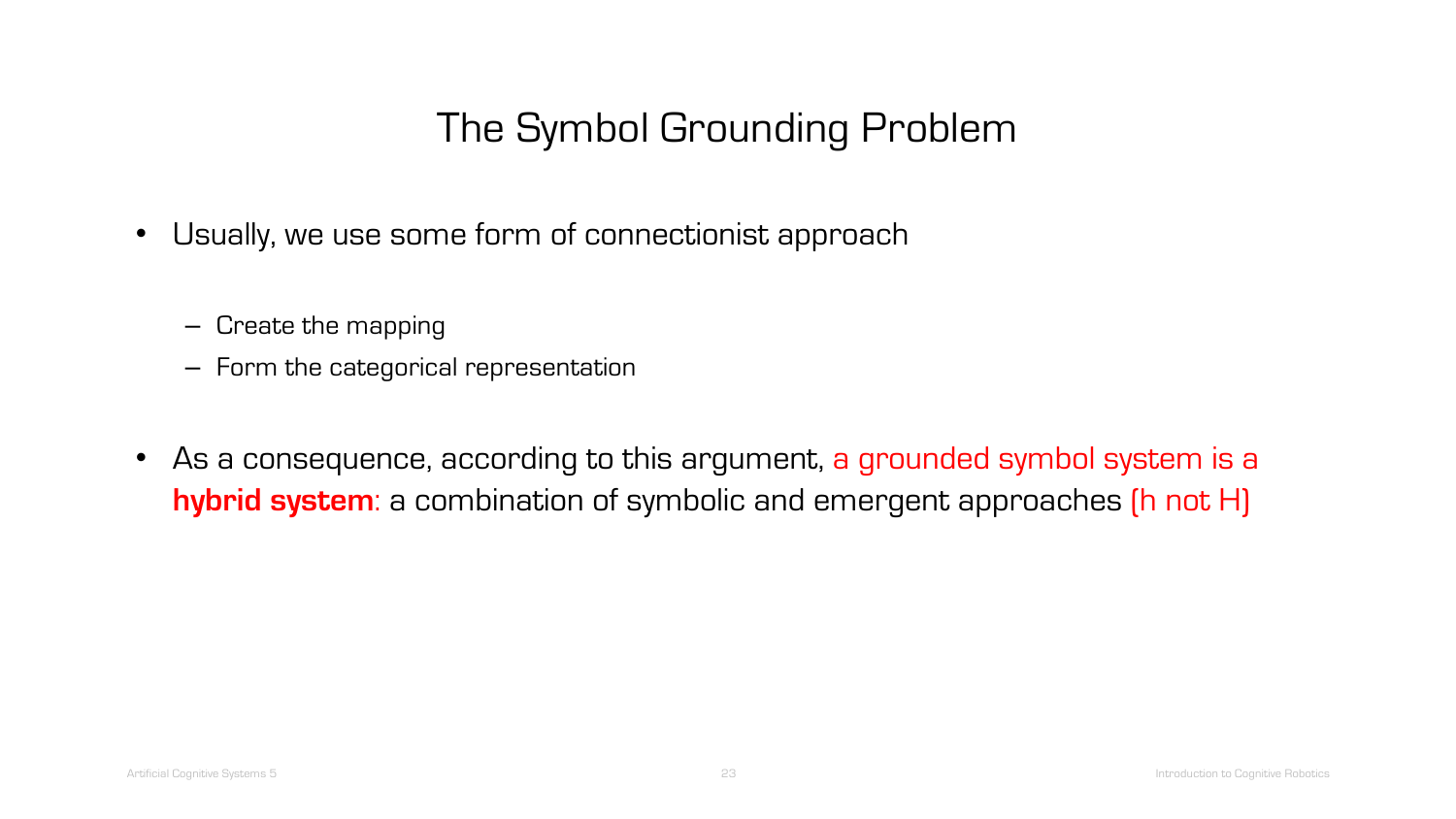- Usually, we use some form of connectionist approach
	- Create the mapping
	- Form the categorical representation
- As a consequence, according to this argument, a grounded symbol system is a **hybrid system**: a combination of symbolic and emergent approaches (h not H)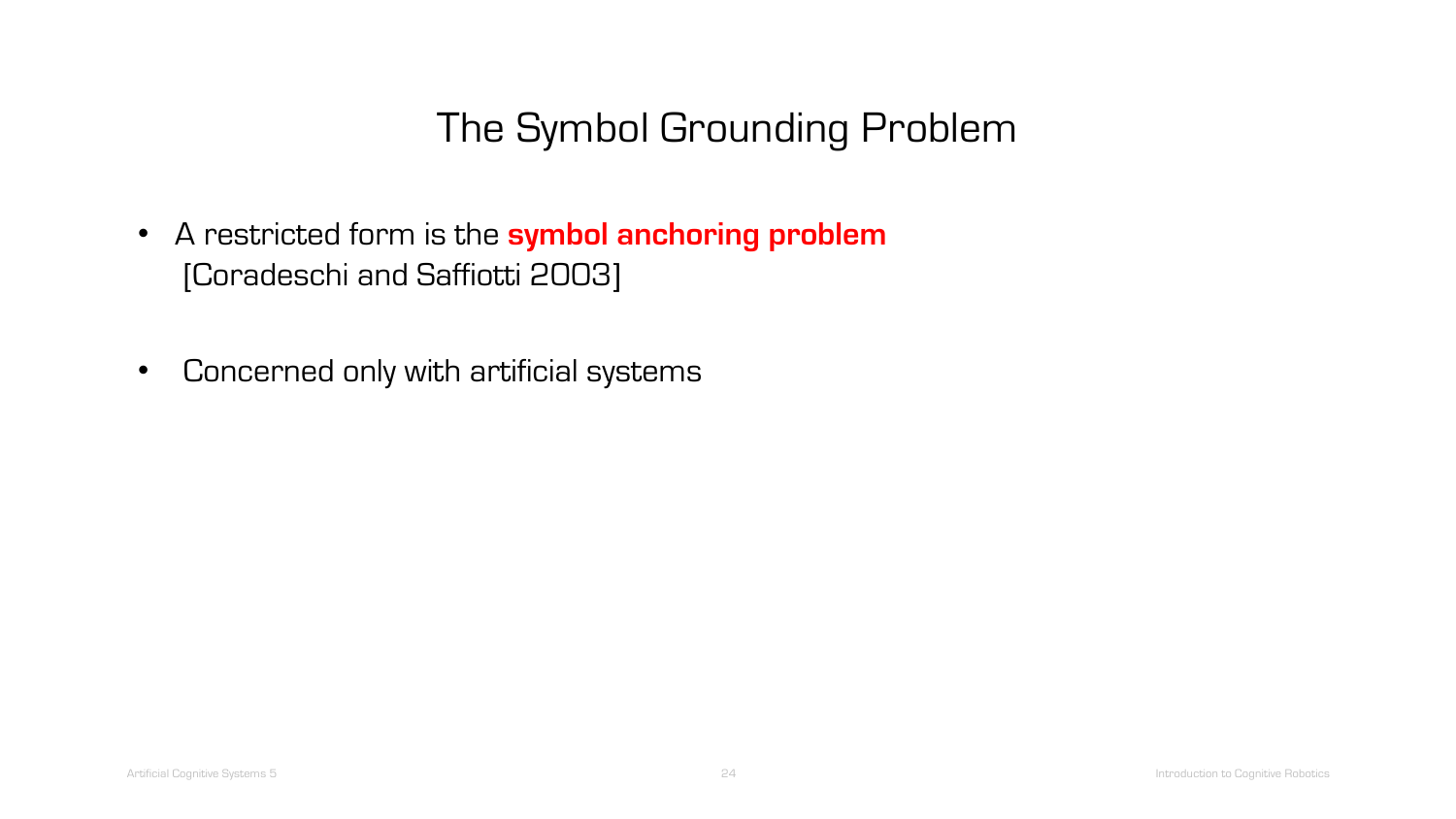- A restricted form is the **symbol anchoring problem** [Coradeschi and Saffiotti 2003]
- Concerned only with artificial systems